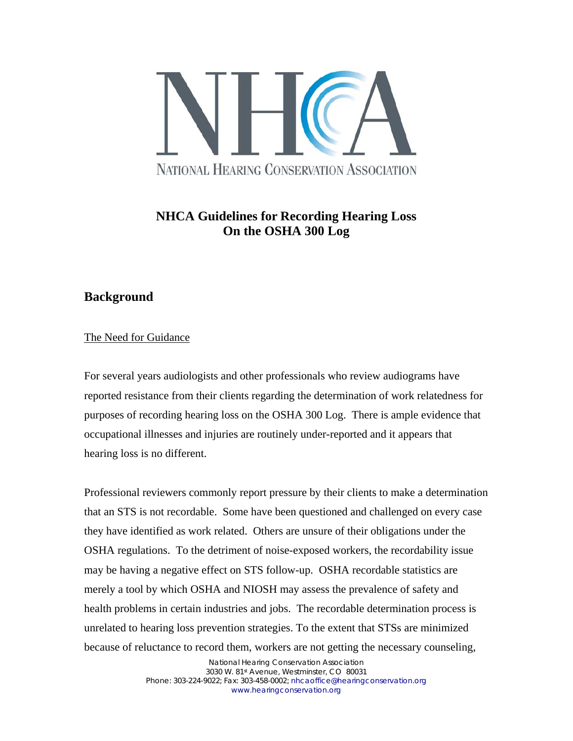

# **NHCA Guidelines for Recording Hearing Loss On the OSHA 300 Log**

## **Background**

### The Need for Guidance

For several years audiologists and other professionals who review audiograms have reported resistance from their clients regarding the determination of work relatedness for purposes of recording hearing loss on the OSHA 300 Log. There is ample evidence that occupational illnesses and injuries are routinely under-reported and it appears that hearing loss is no different.

Professional reviewers commonly report pressure by their clients to make a determination that an STS is not recordable. Some have been questioned and challenged on every case they have identified as work related. Others are unsure of their obligations under the OSHA regulations. To the detriment of noise-exposed workers, the recordability issue may be having a negative effect on STS follow-up. OSHA recordable statistics are merely a tool by which OSHA and NIOSH may assess the prevalence of safety and health problems in certain industries and jobs. The recordable determination process is unrelated to hearing loss prevention strategies. To the extent that STSs are minimized because of reluctance to record them, workers are not getting the necessary counseling,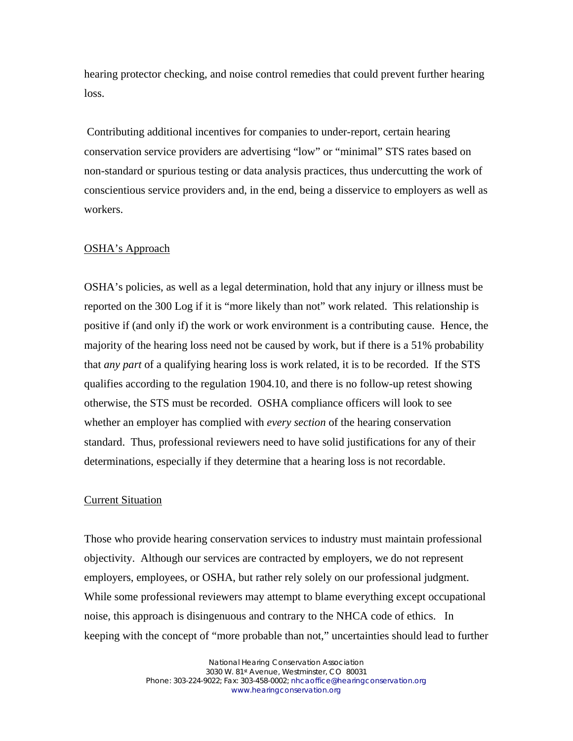hearing protector checking, and noise control remedies that could prevent further hearing loss.

 Contributing additional incentives for companies to under-report, certain hearing conservation service providers are advertising "low" or "minimal" STS rates based on non-standard or spurious testing or data analysis practices, thus undercutting the work of conscientious service providers and, in the end, being a disservice to employers as well as workers.

#### OSHA's Approach

OSHA's policies, as well as a legal determination, hold that any injury or illness must be reported on the 300 Log if it is "more likely than not" work related. This relationship is positive if (and only if) the work or work environment is a contributing cause. Hence, the majority of the hearing loss need not be caused by work, but if there is a 51% probability that *any part* of a qualifying hearing loss is work related, it is to be recorded. If the STS qualifies according to the regulation 1904.10, and there is no follow-up retest showing otherwise, the STS must be recorded. OSHA compliance officers will look to see whether an employer has complied with *every section* of the hearing conservation standard. Thus, professional reviewers need to have solid justifications for any of their determinations, especially if they determine that a hearing loss is not recordable.

### Current Situation

Those who provide hearing conservation services to industry must maintain professional objectivity. Although our services are contracted by employers, we do not represent employers, employees, or OSHA, but rather rely solely on our professional judgment. While some professional reviewers may attempt to blame everything except occupational noise, this approach is disingenuous and contrary to the NHCA code of ethics. In keeping with the concept of "more probable than not," uncertainties should lead to further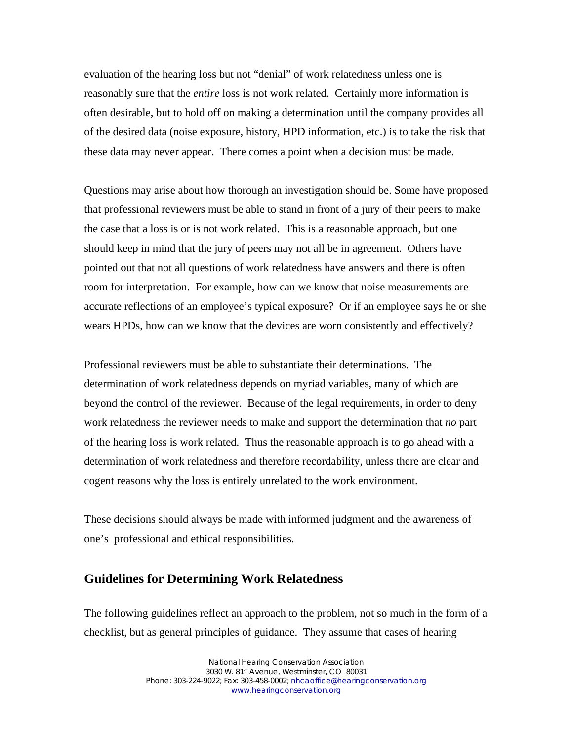evaluation of the hearing loss but not "denial" of work relatedness unless one is reasonably sure that the *entire* loss is not work related. Certainly more information is often desirable, but to hold off on making a determination until the company provides all of the desired data (noise exposure, history, HPD information, etc.) is to take the risk that these data may never appear. There comes a point when a decision must be made.

Questions may arise about how thorough an investigation should be. Some have proposed that professional reviewers must be able to stand in front of a jury of their peers to make the case that a loss is or is not work related. This is a reasonable approach, but one should keep in mind that the jury of peers may not all be in agreement. Others have pointed out that not all questions of work relatedness have answers and there is often room for interpretation. For example, how can we know that noise measurements are accurate reflections of an employee's typical exposure? Or if an employee says he or she wears HPDs, how can we know that the devices are worn consistently and effectively?

Professional reviewers must be able to substantiate their determinations. The determination of work relatedness depends on myriad variables, many of which are beyond the control of the reviewer. Because of the legal requirements, in order to deny work relatedness the reviewer needs to make and support the determination that *no* part of the hearing loss is work related. Thus the reasonable approach is to go ahead with a determination of work relatedness and therefore recordability, unless there are clear and cogent reasons why the loss is entirely unrelated to the work environment.

These decisions should always be made with informed judgment and the awareness of one's professional and ethical responsibilities.

### **Guidelines for Determining Work Relatedness**

The following guidelines reflect an approach to the problem, not so much in the form of a checklist, but as general principles of guidance. They assume that cases of hearing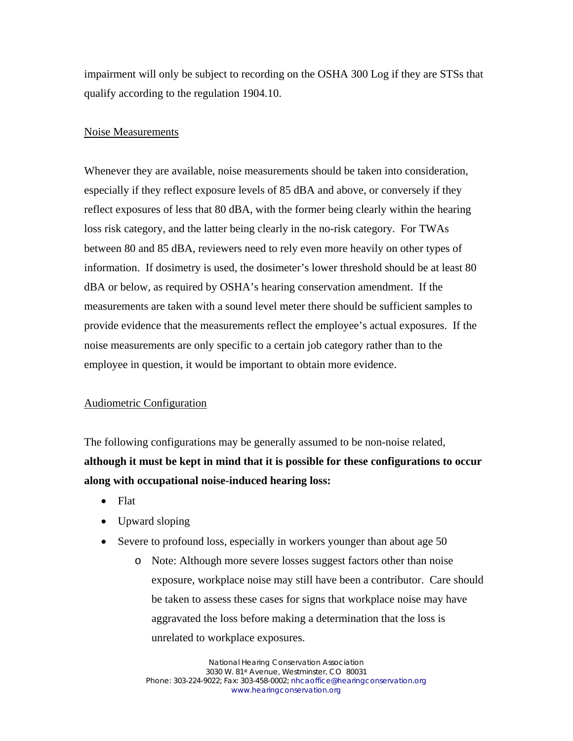impairment will only be subject to recording on the OSHA 300 Log if they are STSs that qualify according to the regulation 1904.10.

#### Noise Measurements

Whenever they are available, noise measurements should be taken into consideration, especially if they reflect exposure levels of 85 dBA and above, or conversely if they reflect exposures of less that 80 dBA, with the former being clearly within the hearing loss risk category, and the latter being clearly in the no-risk category. For TWAs between 80 and 85 dBA, reviewers need to rely even more heavily on other types of information. If dosimetry is used, the dosimeter's lower threshold should be at least 80 dBA or below, as required by OSHA's hearing conservation amendment. If the measurements are taken with a sound level meter there should be sufficient samples to provide evidence that the measurements reflect the employee's actual exposures. If the noise measurements are only specific to a certain job category rather than to the employee in question, it would be important to obtain more evidence.

#### Audiometric Configuration

The following configurations may be generally assumed to be non-noise related, **although it must be kept in mind that it is possible for these configurations to occur along with occupational noise-induced hearing loss:** 

- Flat
- Upward sloping
- Severe to profound loss, especially in workers younger than about age 50
	- o Note: Although more severe losses suggest factors other than noise exposure, workplace noise may still have been a contributor. Care should be taken to assess these cases for signs that workplace noise may have aggravated the loss before making a determination that the loss is unrelated to workplace exposures.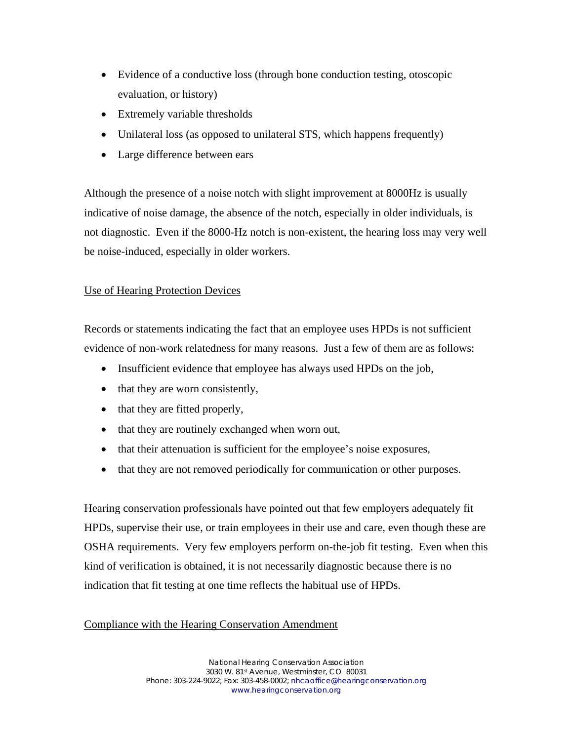- Evidence of a conductive loss (through bone conduction testing, otoscopic evaluation, or history)
- Extremely variable thresholds
- Unilateral loss (as opposed to unilateral STS, which happens frequently)
- Large difference between ears

Although the presence of a noise notch with slight improvement at 8000Hz is usually indicative of noise damage, the absence of the notch, especially in older individuals, is not diagnostic. Even if the 8000-Hz notch is non-existent, the hearing loss may very well be noise-induced, especially in older workers.

### Use of Hearing Protection Devices

Records or statements indicating the fact that an employee uses HPDs is not sufficient evidence of non-work relatedness for many reasons. Just a few of them are as follows:

- Insufficient evidence that employee has always used HPDs on the job,
- that they are worn consistently,
- that they are fitted properly,
- that they are routinely exchanged when worn out,
- that their attenuation is sufficient for the employee's noise exposures,
- that they are not removed periodically for communication or other purposes.

Hearing conservation professionals have pointed out that few employers adequately fit HPDs, supervise their use, or train employees in their use and care, even though these are OSHA requirements. Very few employers perform on-the-job fit testing. Even when this kind of verification is obtained, it is not necessarily diagnostic because there is no indication that fit testing at one time reflects the habitual use of HPDs.

### Compliance with the Hearing Conservation Amendment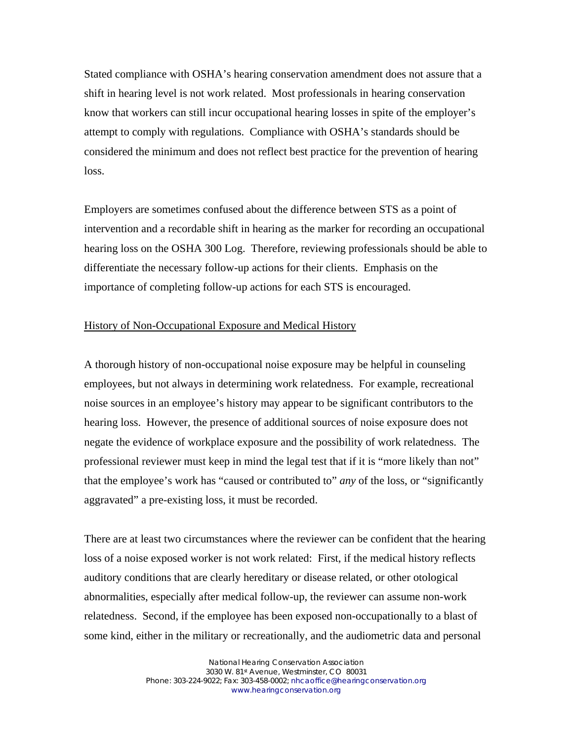Stated compliance with OSHA's hearing conservation amendment does not assure that a shift in hearing level is not work related. Most professionals in hearing conservation know that workers can still incur occupational hearing losses in spite of the employer's attempt to comply with regulations. Compliance with OSHA's standards should be considered the minimum and does not reflect best practice for the prevention of hearing loss.

Employers are sometimes confused about the difference between STS as a point of intervention and a recordable shift in hearing as the marker for recording an occupational hearing loss on the OSHA 300 Log. Therefore, reviewing professionals should be able to differentiate the necessary follow-up actions for their clients. Emphasis on the importance of completing follow-up actions for each STS is encouraged.

### History of Non-Occupational Exposure and Medical History

A thorough history of non-occupational noise exposure may be helpful in counseling employees, but not always in determining work relatedness. For example, recreational noise sources in an employee's history may appear to be significant contributors to the hearing loss. However, the presence of additional sources of noise exposure does not negate the evidence of workplace exposure and the possibility of work relatedness. The professional reviewer must keep in mind the legal test that if it is "more likely than not" that the employee's work has "caused or contributed to" *any* of the loss, or "significantly aggravated" a pre-existing loss, it must be recorded.

There are at least two circumstances where the reviewer can be confident that the hearing loss of a noise exposed worker is not work related: First, if the medical history reflects auditory conditions that are clearly hereditary or disease related, or other otological abnormalities, especially after medical follow-up, the reviewer can assume non-work relatedness. Second, if the employee has been exposed non-occupationally to a blast of some kind, either in the military or recreationally, and the audiometric data and personal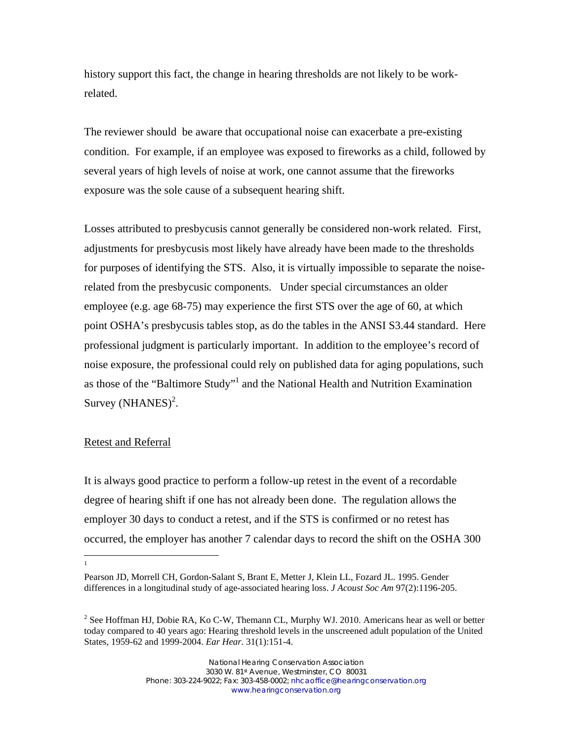history support this fact, the change in hearing thresholds are not likely to be workrelated.

The reviewer should be aware that occupational noise can exacerbate a pre-existing condition. For example, if an employee was exposed to fireworks as a child, followed by several years of high levels of noise at work, one cannot assume that the fireworks exposure was the sole cause of a subsequent hearing shift.

Losses attributed to presbycusis cannot generally be considered non-work related. First, adjustments for presbycusis most likely have already have been made to the thresholds for purposes of identifying the STS. Also, it is virtually impossible to separate the noiserelated from the presbycusic components. Under special circumstances an older employee (e.g. age 68-75) may experience the first STS over the age of 60, at which point OSHA's presbycusis tables stop, as do the tables in the ANSI S3.44 standard. Here professional judgment is particularly important. In addition to the employee's record of noise exposure, the professional could rely on published data for aging populations, such as those of the "Baltimore Study"<sup>1</sup> and the National Health and Nutrition Examination Survey  $(NHANES)^2$ .

### Retest and Referral

It is always good practice to perform a follow-up retest in the event of a recordable degree of hearing shift if one has not already been done. The regulation allows the employer 30 days to conduct a retest, and if the STS is confirmed or no retest has occurred, the employer has another 7 calendar days to record the shift on the OSHA 300

1

Pearson JD, Morrell CH, Gordon-Salant S, Brant E, Metter J, Klein LL, Fozard JL. 1995. Gender differences in a longitudinal study of age-associated hearing loss. *J Acoust Soc Am* 97(2):1196-205.

<sup>&</sup>lt;sup>2</sup> See Hoffman HJ, Dobie RA, Ko C-W, Themann CL, Murphy WJ. 2010. Americans hear as well or better today compared to 40 years ago: Hearing threshold levels in the unscreened adult population of the United States, 1959-62 and 1999-2004. *Ear Hear.* 31(1):151-4.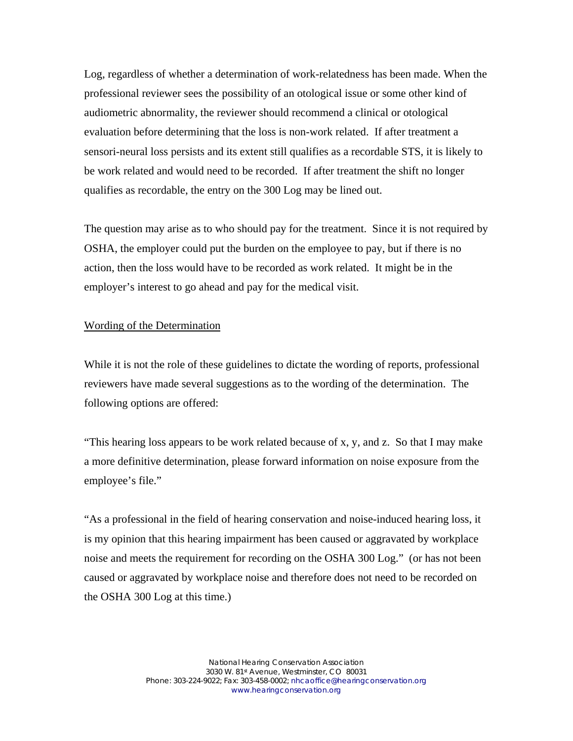Log, regardless of whether a determination of work-relatedness has been made. When the professional reviewer sees the possibility of an otological issue or some other kind of audiometric abnormality, the reviewer should recommend a clinical or otological evaluation before determining that the loss is non-work related. If after treatment a sensori-neural loss persists and its extent still qualifies as a recordable STS, it is likely to be work related and would need to be recorded. If after treatment the shift no longer qualifies as recordable, the entry on the 300 Log may be lined out.

The question may arise as to who should pay for the treatment. Since it is not required by OSHA, the employer could put the burden on the employee to pay, but if there is no action, then the loss would have to be recorded as work related. It might be in the employer's interest to go ahead and pay for the medical visit.

### Wording of the Determination

While it is not the role of these guidelines to dictate the wording of reports, professional reviewers have made several suggestions as to the wording of the determination. The following options are offered:

"This hearing loss appears to be work related because of x, y, and z. So that I may make a more definitive determination, please forward information on noise exposure from the employee's file."

"As a professional in the field of hearing conservation and noise-induced hearing loss, it is my opinion that this hearing impairment has been caused or aggravated by workplace noise and meets the requirement for recording on the OSHA 300 Log." (or has not been caused or aggravated by workplace noise and therefore does not need to be recorded on the OSHA 300 Log at this time.)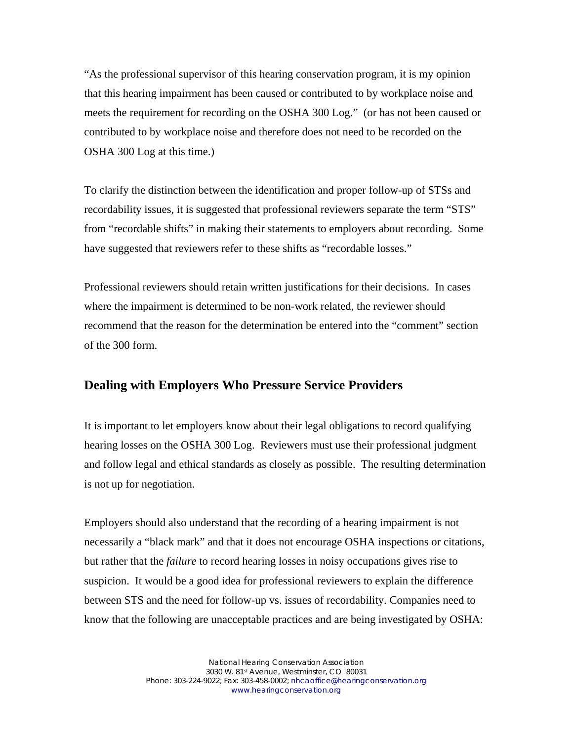"As the professional supervisor of this hearing conservation program, it is my opinion that this hearing impairment has been caused or contributed to by workplace noise and meets the requirement for recording on the OSHA 300 Log." (or has not been caused or contributed to by workplace noise and therefore does not need to be recorded on the OSHA 300 Log at this time.)

To clarify the distinction between the identification and proper follow-up of STSs and recordability issues, it is suggested that professional reviewers separate the term "STS" from "recordable shifts" in making their statements to employers about recording. Some have suggested that reviewers refer to these shifts as "recordable losses."

Professional reviewers should retain written justifications for their decisions. In cases where the impairment is determined to be non-work related, the reviewer should recommend that the reason for the determination be entered into the "comment" section of the 300 form.

### **Dealing with Employers Who Pressure Service Providers**

It is important to let employers know about their legal obligations to record qualifying hearing losses on the OSHA 300 Log. Reviewers must use their professional judgment and follow legal and ethical standards as closely as possible. The resulting determination is not up for negotiation.

Employers should also understand that the recording of a hearing impairment is not necessarily a "black mark" and that it does not encourage OSHA inspections or citations, but rather that the *failure* to record hearing losses in noisy occupations gives rise to suspicion. It would be a good idea for professional reviewers to explain the difference between STS and the need for follow-up vs. issues of recordability. Companies need to know that the following are unacceptable practices and are being investigated by OSHA: